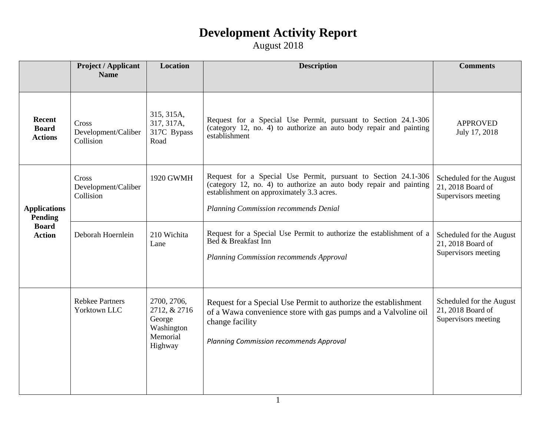|                                                                        | <b>Project / Applicant</b><br><b>Name</b> | <b>Location</b>                                                            | <b>Description</b>                                                                                                                                                                                                         | <b>Comments</b>                                                      |
|------------------------------------------------------------------------|-------------------------------------------|----------------------------------------------------------------------------|----------------------------------------------------------------------------------------------------------------------------------------------------------------------------------------------------------------------------|----------------------------------------------------------------------|
|                                                                        |                                           |                                                                            |                                                                                                                                                                                                                            |                                                                      |
| Recent<br><b>Board</b><br><b>Actions</b>                               | Cross<br>Development/Caliber<br>Collision | 315, 315A,<br>317, 317A,<br>317C Bypass<br>Road                            | Request for a Special Use Permit, pursuant to Section 24.1-306<br>(category 12, no. 4) to authorize an auto body repair and painting<br>establishment                                                                      | <b>APPROVED</b><br>July 17, 2018                                     |
| <b>Applications</b><br><b>Pending</b><br><b>Board</b><br><b>Action</b> | Cross<br>Development/Caliber<br>Collision | 1920 GWMH                                                                  | Request for a Special Use Permit, pursuant to Section 24.1-306<br>(category 12, no. 4) to authorize an auto body repair and painting<br>establishment on approximately 3.3 acres.<br>Planning Commission recommends Denial | Scheduled for the August<br>21, 2018 Board of<br>Supervisors meeting |
|                                                                        | Deborah Hoernlein                         | 210 Wichita<br>Lane                                                        | Request for a Special Use Permit to authorize the establishment of a<br>Bed & Breakfast Inn<br>Planning Commission recommends Approval                                                                                     | Scheduled for the August<br>21, 2018 Board of<br>Supervisors meeting |
|                                                                        | <b>Rebkee Partners</b><br>Yorktown LLC    | 2700, 2706,<br>2712, & 2716<br>George<br>Washington<br>Memorial<br>Highway | Request for a Special Use Permit to authorize the establishment<br>of a Wawa convenience store with gas pumps and a Valvoline oil<br>change facility<br><b>Planning Commission recommends Approval</b>                     | Scheduled for the August<br>21, 2018 Board of<br>Supervisors meeting |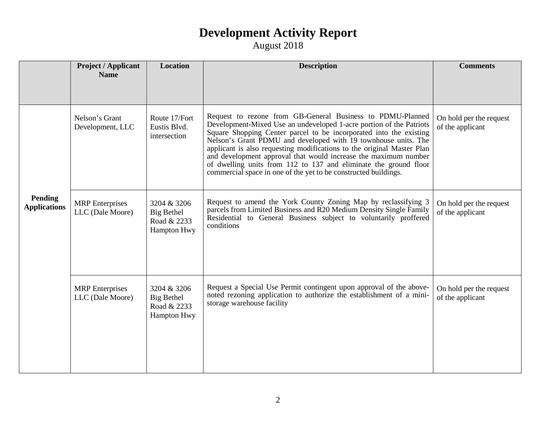|                                | <b>Project / Applicant</b>                 | <b>Location</b>                                                | <b>Description</b><br><b>Comments</b>                                                                                                                                                                                                                                                                                                                                                                                                                                                                                                                         |                                             |
|--------------------------------|--------------------------------------------|----------------------------------------------------------------|---------------------------------------------------------------------------------------------------------------------------------------------------------------------------------------------------------------------------------------------------------------------------------------------------------------------------------------------------------------------------------------------------------------------------------------------------------------------------------------------------------------------------------------------------------------|---------------------------------------------|
|                                | <b>Name</b>                                |                                                                |                                                                                                                                                                                                                                                                                                                                                                                                                                                                                                                                                               |                                             |
|                                | Nelson's Grant<br>Development, LLC         | Route 17/Fort<br>Eustis Blvd.<br>intersection                  | Request to rezone from GB-General Business to PDMU-Planned<br>Development-Mixed Use an undeveloped 1-acre portion of the Patriots<br>Square Shopping Center parcel to be incorporated into the existing<br>Nelson's Grant PDMU and developed with 19 townhouse units. The<br>applicant is also requesting modifications to the original Master Plan<br>and development approval that would increase the maximum number<br>of dwelling units from 112 to 137 and eliminate the ground floor<br>commercial space in one of the yet to be constructed buildings. | On hold per the request<br>of the applicant |
| Pending<br><b>Applications</b> | <b>MRP</b> Enterprises<br>LLC (Dale Moore) | 3204 & 3206<br>Big Bethel<br>Road & 2233<br>Hampton Hwy        | Request to amend the York County Zoning Map by reclassifying 3<br>parcels from Limited Business and R20 Medium Density Single Family<br>Residential to General Business subject to voluntarily proffered<br>conditions                                                                                                                                                                                                                                                                                                                                        | On hold per the request<br>of the applicant |
|                                | <b>MRP</b> Enterprises<br>LLC (Dale Moore) | 3204 & 3206<br><b>Big Bethel</b><br>Road & 2233<br>Hampton Hwy | Request a Special Use Permit contingent upon approval of the above-<br>noted rezoning application to authorize the establishment of a mini-<br>storage warehouse facility                                                                                                                                                                                                                                                                                                                                                                                     | On hold per the request<br>of the applicant |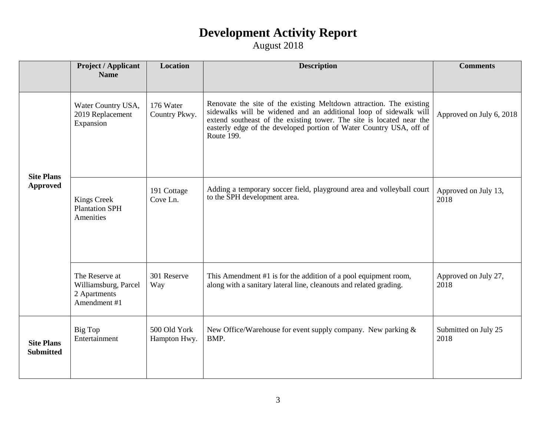|                                       | <b>Project / Applicant</b><br><b>Name</b>                              | <b>Location</b>              | <b>Description</b>                                                                                                                                                                                                                                                                                    | <b>Comments</b>              |
|---------------------------------------|------------------------------------------------------------------------|------------------------------|-------------------------------------------------------------------------------------------------------------------------------------------------------------------------------------------------------------------------------------------------------------------------------------------------------|------------------------------|
|                                       |                                                                        |                              |                                                                                                                                                                                                                                                                                                       |                              |
| <b>Site Plans</b><br><b>Approved</b>  | Water Country USA,<br>2019 Replacement<br>Expansion                    | 176 Water<br>Country Pkwy.   | Renovate the site of the existing Meltdown attraction. The existing<br>sidewalks will be widened and an additional loop of sidewalk will<br>extend southeast of the existing tower. The site is located near the<br>easterly edge of the developed portion of Water Country USA, off of<br>Route 199. | Approved on July 6, 2018     |
|                                       | <b>Kings Creek</b><br><b>Plantation SPH</b><br>Amenities               | 191 Cottage<br>Cove Ln.      | Adding a temporary soccer field, playground area and volleyball court<br>to the SPH development area.                                                                                                                                                                                                 | Approved on July 13,<br>2018 |
|                                       | The Reserve at<br>Williamsburg, Parcel<br>2 Apartments<br>Amendment #1 | 301 Reserve<br>Way           | This Amendment #1 is for the addition of a pool equipment room,<br>along with a sanitary lateral line, cleanouts and related grading.                                                                                                                                                                 | Approved on July 27,<br>2018 |
| <b>Site Plans</b><br><b>Submitted</b> | Big Top<br>Entertainment                                               | 500 Old York<br>Hampton Hwy. | New Office/Warehouse for event supply company. New parking $\&$<br>BMP.                                                                                                                                                                                                                               | Submitted on July 25<br>2018 |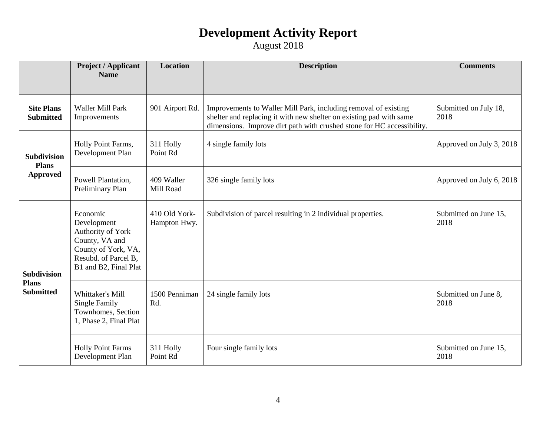|                                                        | <b>Project / Applicant</b><br><b>Name</b>                                                                                              | Location                      | <b>Description</b>                                                                                                                                                                                               | <b>Comments</b>               |
|--------------------------------------------------------|----------------------------------------------------------------------------------------------------------------------------------------|-------------------------------|------------------------------------------------------------------------------------------------------------------------------------------------------------------------------------------------------------------|-------------------------------|
|                                                        |                                                                                                                                        |                               |                                                                                                                                                                                                                  |                               |
| <b>Site Plans</b><br><b>Submitted</b>                  | <b>Waller Mill Park</b><br>Improvements                                                                                                | 901 Airport Rd.               | Improvements to Waller Mill Park, including removal of existing<br>shelter and replacing it with new shelter on existing pad with same<br>dimensions. Improve dirt path with crushed stone for HC accessibility. | Submitted on July 18,<br>2018 |
| <b>Subdivision</b><br><b>Plans</b><br><b>Approved</b>  | Holly Point Farms,<br>Development Plan                                                                                                 | 311 Holly<br>Point Rd         | 4 single family lots                                                                                                                                                                                             | Approved on July 3, 2018      |
|                                                        | Powell Plantation,<br>Preliminary Plan                                                                                                 | 409 Waller<br>Mill Road       | 326 single family lots                                                                                                                                                                                           | Approved on July 6, 2018      |
| <b>Subdivision</b><br><b>Plans</b><br><b>Submitted</b> | Economic<br>Development<br>Authority of York<br>County, VA and<br>County of York, VA,<br>Resubd. of Parcel B,<br>B1 and B2, Final Plat | 410 Old York-<br>Hampton Hwy. | Subdivision of parcel resulting in 2 individual properties.                                                                                                                                                      | Submitted on June 15,<br>2018 |
|                                                        | Whittaker's Mill<br>Single Family<br>Townhomes, Section<br>1, Phase 2, Final Plat                                                      | 1500 Penniman<br>Rd.          | 24 single family lots                                                                                                                                                                                            | Submitted on June 8,<br>2018  |
|                                                        | <b>Holly Point Farms</b><br>Development Plan                                                                                           | 311 Holly<br>Point Rd         | Four single family lots                                                                                                                                                                                          | Submitted on June 15,<br>2018 |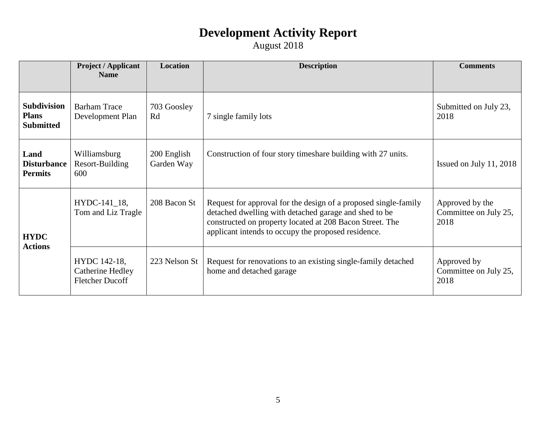|                                                        | <b>Project / Applicant</b><br><b>Name</b>                  | <b>Location</b>           | <b>Description</b>                                                                                                                                                                                                                          | <b>Comments</b>                                  |
|--------------------------------------------------------|------------------------------------------------------------|---------------------------|---------------------------------------------------------------------------------------------------------------------------------------------------------------------------------------------------------------------------------------------|--------------------------------------------------|
|                                                        |                                                            |                           |                                                                                                                                                                                                                                             |                                                  |
| <b>Subdivision</b><br><b>Plans</b><br><b>Submitted</b> | <b>Barham Trace</b><br>Development Plan                    | 703 Goosley<br>Rd         | 7 single family lots                                                                                                                                                                                                                        | Submitted on July 23,<br>2018                    |
| Land<br><b>Disturbance</b><br><b>Permits</b>           | Williamsburg<br>Resort-Building<br>600                     | 200 English<br>Garden Way | Construction of four story times hare building with 27 units.                                                                                                                                                                               | Issued on July 11, 2018                          |
| <b>HYDC</b><br><b>Actions</b>                          | HYDC-141_18,<br>Tom and Liz Tragle                         | 208 Bacon St              | Request for approval for the design of a proposed single-family<br>detached dwelling with detached garage and shed to be<br>constructed on property located at 208 Bacon Street. The<br>applicant intends to occupy the proposed residence. | Approved by the<br>Committee on July 25,<br>2018 |
|                                                        | HYDC 142-18,<br>Catherine Hedley<br><b>Fletcher Ducoff</b> | 223 Nelson St             | Request for renovations to an existing single-family detached<br>home and detached garage                                                                                                                                                   | Approved by<br>Committee on July 25,<br>2018     |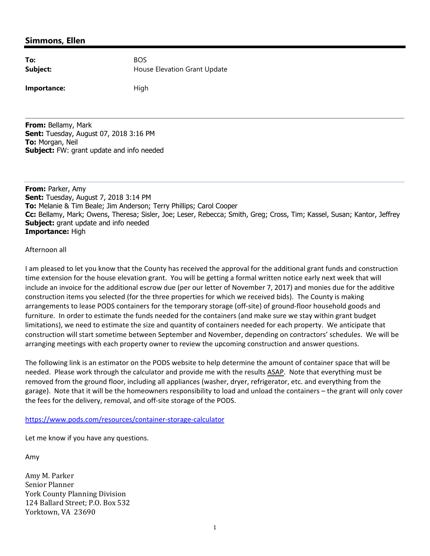#### **Simmons, Ellen**

| To:      | <b>BOS</b> |
|----------|------------|
| Subject: | Hou        |

**Importance:** High

**Subject:** House Elevation Grant Update

**From:** Bellamy, Mark **Sent:** Tuesday, August 07, 2018 3:16 PM **To:** Morgan, Neil **Subject:** FW: grant update and info needed

**From:** Parker, Amy **Sent:** Tuesday, August 7, 2018 3:14 PM **To:** Melanie & Tim Beale; Jim Anderson; Terry Phillips; Carol Cooper **Cc:** Bellamy, Mark; Owens, Theresa; Sisler, Joe; Leser, Rebecca; Smith, Greg; Cross, Tim; Kassel, Susan; Kantor, Jeffrey **Subject:** grant update and info needed **Importance:** High

#### Afternoon all

I am pleased to let you know that the County has received the approval for the additional grant funds and construction time extension for the house elevation grant. You will be getting a formal written notice early next week that will include an invoice for the additional escrow due (per our letter of November 7, 2017) and monies due for the additive construction items you selected (for the three properties for which we received bids). The County is making arrangements to lease PODS containers for the temporary storage (off‐site) of ground‐floor household goods and furniture. In order to estimate the funds needed for the containers (and make sure we stay within grant budget limitations), we need to estimate the size and quantity of containers needed for each property. We anticipate that construction will start sometime between September and November, depending on contractors' schedules. We will be arranging meetings with each property owner to review the upcoming construction and answer questions.

The following link is an estimator on the PODS website to help determine the amount of container space that will be needed. Please work through the calculator and provide me with the results ASAP. Note that everything must be removed from the ground floor, including all appliances (washer, dryer, refrigerator, etc. and everything from the garage). Note that it will be the homeowners responsibility to load and unload the containers – the grant will only cover the fees for the delivery, removal, and off‐site storage of the PODS.

https://www.pods.com/resources/container‐storage‐calculator

Let me know if you have any questions.

Amy

Amy M. Parker Senior Planner York County Planning Division 124 Ballard Street; P.O. Box 532 Yorktown, VA 23690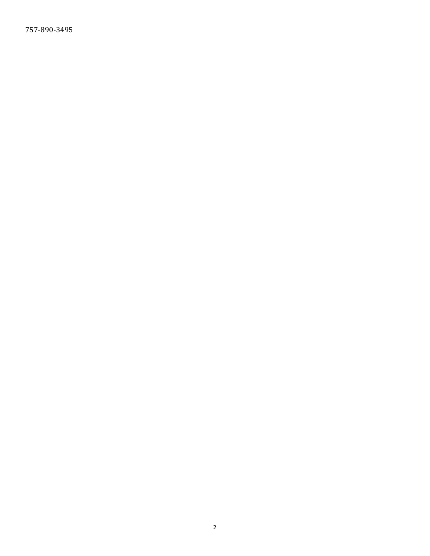757‐890‐3495